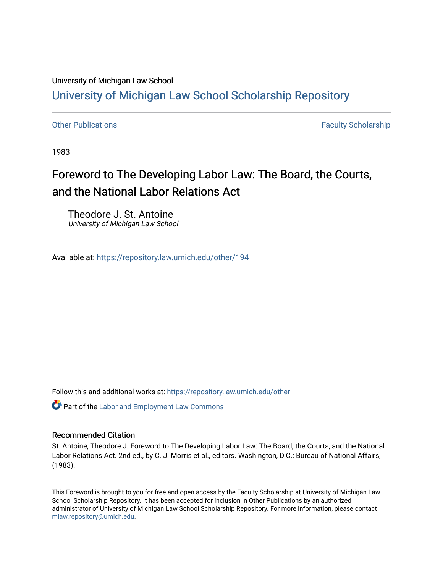### University of Michigan Law School [University of Michigan Law School Scholarship Repository](https://repository.law.umich.edu/)

[Other Publications](https://repository.law.umich.edu/other) **Faculty Scholarship Faculty Scholarship Faculty Scholarship** 

1983

## Foreword to The Developing Labor Law: The Board, the Courts, and the National Labor Relations Act

Theodore J. St. Antoine University of Michigan Law School

Available at: <https://repository.law.umich.edu/other/194>

Follow this and additional works at: [https://repository.law.umich.edu/other](https://repository.law.umich.edu/other?utm_source=repository.law.umich.edu%2Fother%2F194&utm_medium=PDF&utm_campaign=PDFCoverPages)

Part of the [Labor and Employment Law Commons](http://network.bepress.com/hgg/discipline/909?utm_source=repository.law.umich.edu%2Fother%2F194&utm_medium=PDF&utm_campaign=PDFCoverPages)

#### Recommended Citation

St. Antoine, Theodore J. Foreword to The Developing Labor Law: The Board, the Courts, and the National Labor Relations Act. 2nd ed., by C. J. Morris et al., editors. Washington, D.C.: Bureau of National Affairs, (1983).

This Foreword is brought to you for free and open access by the Faculty Scholarship at University of Michigan Law School Scholarship Repository. It has been accepted for inclusion in Other Publications by an authorized administrator of University of Michigan Law School Scholarship Repository. For more information, please contact [mlaw.repository@umich.edu.](mailto:mlaw.repository@umich.edu)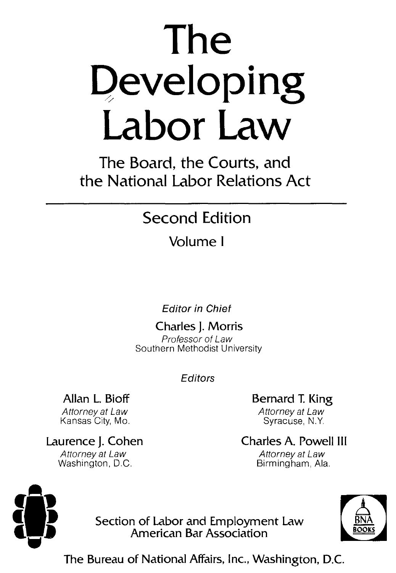# **The Qeveloping Labor Law**

**The Board, the Courts, and the National Labor Relations Act** 

## **Second Edition**

## **Volume** I

**Editor in Chief** 

**Charles J. Morris**  Professor of Law Southern Methodist University

**Editors** 

**Allan L. Bioff** 

Attorney at Law Kansas City, Mo.

**Laurence J. Cohen**  Attorney at Law Washington, D.C.

**Bernard T. King**  Attorney at Law Syracuse, N.Y.

**Charles A. Powell** Ill Attorney at Law Birmingham, Ala.



**Section of Labor and Employment Law American Bar Association** 



**The Bureau of National Affairs, Inc., Washington, D.C.**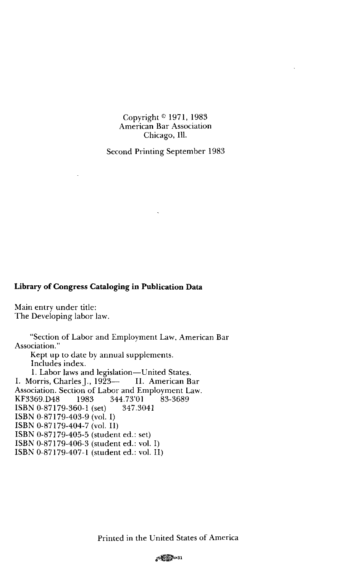#### Copyright © 1971, 1983 American Bar Association Chicago, Ill.

Second Printing September 1983

#### **Library of Congress Cataloging in Publication Data**

Main entry under title: The Developing labor law.

"Section of Labor and Employment Law, American Bar Association." Kept up to date by annual supplements. Includes index.

1. Labor laws and legislation-United States. I. Morris, Charles J., 1923- II. American Bar Association. Section of Labor and Employment Law.<br>KF3369.D48 1983 344.73'01 83-3689 KF3369.D48 1983 344.73'01<br>**ISBN** 0-87179-360-1 (set) 347.3041 ISBN 0-87179-360-1 (set) ISBN 0-87179-403-9 (vol. I) ISBN 0-87179-404-7 (vol. II) ISBN 0-87179-405-5 (student ed.: set) ISBN 0-87179-406-3 (student ed.: vol. I) ISBN 0-87179-407-1 (student ed.: vol. II)

Printed in the United States of America

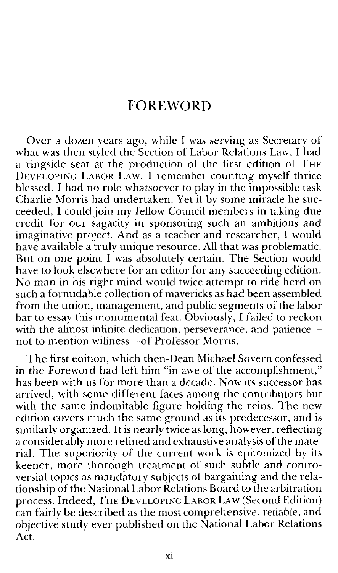#### **FOREWORD**

Over a dozen years ago, while I was serving as Secretary of what was then styled the Section of Labor Relations Law, I had a ringside seat at the production of the first edition of THE DEVELOPING LABOR LAW. I remember counting myself thrice blessed. I had no role whatsoever to play in the impossible task Charlie Morris had undertaken. Yet if by some miracle he succeeded, I could join my fellow Council members in taking due credit for our sagacity in sponsoring such an ambitious and imaginative project. And as a teacher and researcher, I would have available a truly unique resource. All that was problematic. But on one point I was absolutely certain. The Section would have to look elsewhere for an editor for any succeeding edition. No man in his right mind would twice attempt to ride herd on such a formidable collection of mavericks as had been assembled from the union, management, and public segments of the labor bar to essay this monumental feat. Obviously, I failed to reckon with the almost infinite dedication, perseverance, and patiencenot to mention wiliness-of Professor Morris.

The first edition, which then-Dean Michael Sovern confessed in the Foreword had left him "in awe of the accomplishment," has been with us for more than a decade. Now its successor has arrived, with some different faces among the contributors but with the same indomitable figure holding the reins. The new edition covers much the same ground as its predecessor, and is similarly organized. It is nearly twice as long, however, reflecting a considerably more refined and exhaustive analysis of the material. The superiority of the current work is epitomized by its keener, more thorough treatment of such subtle and controversial topics as mandatory subjects of bargaining and the relationship of the National Labor Relations Board to the arbitration process. Indeed, THE DEVELOPING LABOR LA w (Second Edition) can fairly be described as the most comprehensive, reliable, and objective study ever published on the National Labor Relations Act.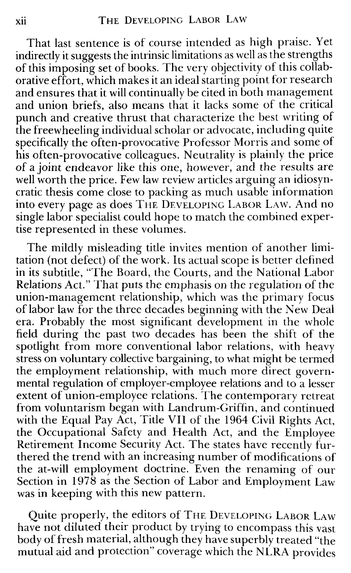That last sentence is of course intended as high praise. Yet indirectly it suggests the intrinsic limitations as well as the strengths of this imposing set of books. The very objectivity of this collaborative effort, which makes it an ideal starting point for research and ensures that it will continually be cited in both management and union briefs, also means that it lacks some of the critical punch and creative thrust that characterize the best writing of the freewheeling individual scholar or advocate, including quite specifically the often-provocative Professor Morris and some of his often-provocative colleagues. Neutrality is plainly the price of a joint endeavor like this one, however, and the results are well worth the price. Few law review articles arguing an idiosyncratic thesis come close to packing as much usable information into every page as does THE DEVELOPING LABOR LAW. And no single labor specialist could hope to match the combined expertise represented in these volumes.

The mildly misleading title invites mention of another limitation (not defect) of the work. Its actual scope is better defined in its subtitle, "The Board, the Courts, and the National Labor Relations Act." That puts the emphasis on the regulation of the union-management relationship, which was the primary focus of labor law for the three decades beginning with the New Deal era. Probably the most significant development in the whole field during the past two decades has been the shift of the spotlight from more conventional labor relations, with heavy stress on voluntary collective bargaining, to what might be termed the employment relationship, with much more direct governmental regulation of employer-employee relations and to a lesser extent of union-employee relations. The contemporary retreat from voluntarism began with Landrum-Griffin, and continued with the Equal Pay Act, Title VII of the 1964 Civil Rights Act, the Occupational Safety and Health Act, and the Employee Retirement Income Security Act. The states have recently furthered the trend with an increasing number of modifications of the at-will employment doctrine. Even the renaming of our Section in 1978 as the Section of Labor and Employment Law was **in** keeping with this new pattern.

Quite properly, the editors of THE DEVELOPING LABOR LAW have not diluted their product by trying to encompass this vast body of fresh material, although they have superbly treated "the mutual aid and protection" coverage which the **NLRA** provides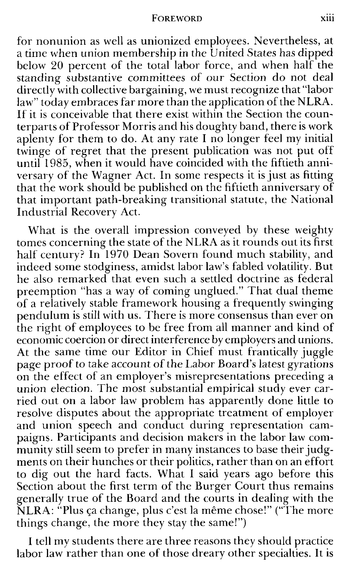#### FOREWORD xiii

for nonunion as well as unionized employees. Nevertheless, at a time when union membership in the United States has dipped below 20 percent of the total labor force, and when half the standing substantive committees of our Section do not deal directly with collective bargaining, we must recognize that "labor law" today embraces far more than the application of the NLRA. If it is conceivable that there exist within the Section the counterparts of Professor Morris and his doughty band, there is work aplenty for them to do. At any rate I no longer feel my initial twinge of regret that the present publication was not put off until  $1985$ , when it would have coincided with the fiftieth anniversary of the Wagner Act. In some respects it is just as fitting that the work should be published on the fiftieth anniversary of that important path-breaking transitional statute, the National Industrial Recovery Act.

What is the overall impression conveyed by these weighty tomes concerning the state of the **NLRA** as it rounds out its first half century? **In** 1970 Dean Sovern found much stability, and indeed some stodginess, amidst labor law's fabled volatility. But he also remarked that even such a settled doctrine as federal preemption "has a way of coming unglued." That dual theme of a relatively stable framework housing a frequently swinging pendulum is still with us. There is more consensus than ever on the right of employees to be free from all manner and kind of economic coercion or direct interference by employers and unions. At the same time our Editor in Chief must frantically juggle page proof to take account of the Labor Board's latest gyrations on the effect of an employer's misrepresentations preceding a union election. The most substantial empirical study ever carried out on a labor law problem has apparently done little to resolve disputes about the appropriate treatment of employer and union speech and conduct during representation campaigns. Participants and decision makers in the labor law community still seem to prefer in many instances to base their judgments on their hunches or their politics, rather than on an effort to dig out the hard facts. What I said years ago before this Section about the first term of the Burger Court thus remains generally true of the Board and the courts in dealing with the  $\overline{\text{NLRA}}$ : "Plus ça change, plus c'est la même chose!" ("The more things change, the more they stay the same!")

I tell my students there are three reasons they should practice labor law rather than one of those dreary other specialties. It is